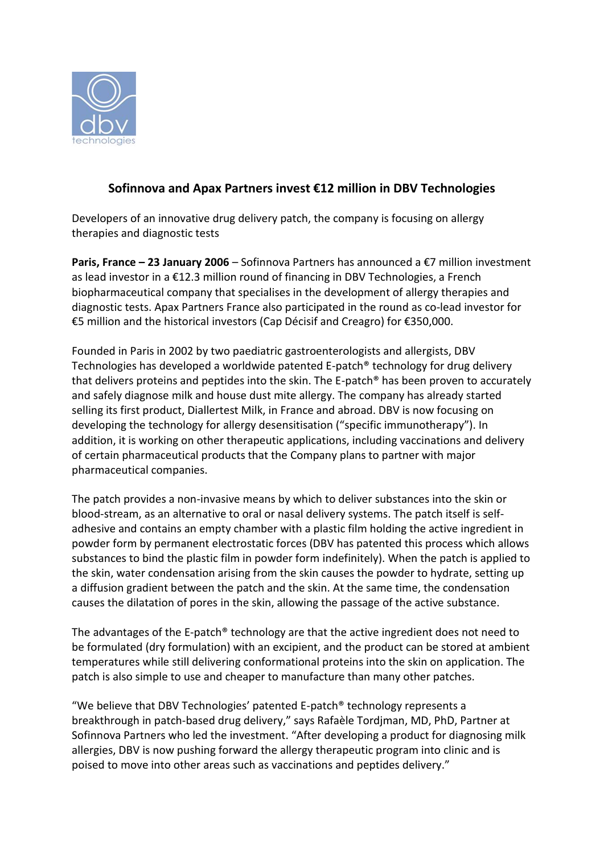

## **Sofinnova and Apax Partners invest €12 million in DBV Technologies**

Developers of an innovative drug delivery patch, the company is focusing on allergy therapies and diagnostic tests

**Paris, France – 23 January 2006** – Sofinnova Partners has announced a €7 million investment as lead investor in a €12.3 million round of financing in DBV Technologies, a French biopharmaceutical company that specialises in the development of allergy therapies and diagnostic tests. Apax Partners France also participated in the round as co-lead investor for €5 million and the historical investors (Cap Décisif and Creagro) for €350,000.

Founded in Paris in 2002 by two paediatric gastroenterologists and allergists, DBV Technologies has developed a worldwide patented E-patch® technology for drug delivery that delivers proteins and peptides into the skin. The E-patch® has been proven to accurately and safely diagnose milk and house dust mite allergy. The company has already started selling its first product, Diallertest Milk, in France and abroad. DBV is now focusing on developing the technology for allergy desensitisation ("specific immunotherapy"). In addition, it is working on other therapeutic applications, including vaccinations and delivery of certain pharmaceutical products that the Company plans to partner with major pharmaceutical companies.

The patch provides a non-invasive means by which to deliver substances into the skin or blood-stream, as an alternative to oral or nasal delivery systems. The patch itself is selfadhesive and contains an empty chamber with a plastic film holding the active ingredient in powder form by permanent electrostatic forces (DBV has patented this process which allows substances to bind the plastic film in powder form indefinitely). When the patch is applied to the skin, water condensation arising from the skin causes the powder to hydrate, setting up a diffusion gradient between the patch and the skin. At the same time, the condensation causes the dilatation of pores in the skin, allowing the passage of the active substance.

The advantages of the E-patch® technology are that the active ingredient does not need to be formulated (dry formulation) with an excipient, and the product can be stored at ambient temperatures while still delivering conformational proteins into the skin on application. The patch is also simple to use and cheaper to manufacture than many other patches.

"We believe that DBV Technologies' patented E-patch<sup>®</sup> technology represents a breakthrough in patch-based drug delivery," says Rafaèle Tordjman, MD, PhD, Partner at Sofinnova Partners who led the investment. "After developing a product for diagnosing milk allergies, DBV is now pushing forward the allergy therapeutic program into clinic and is poised to move into other areas such as vaccinations and peptides delivery."